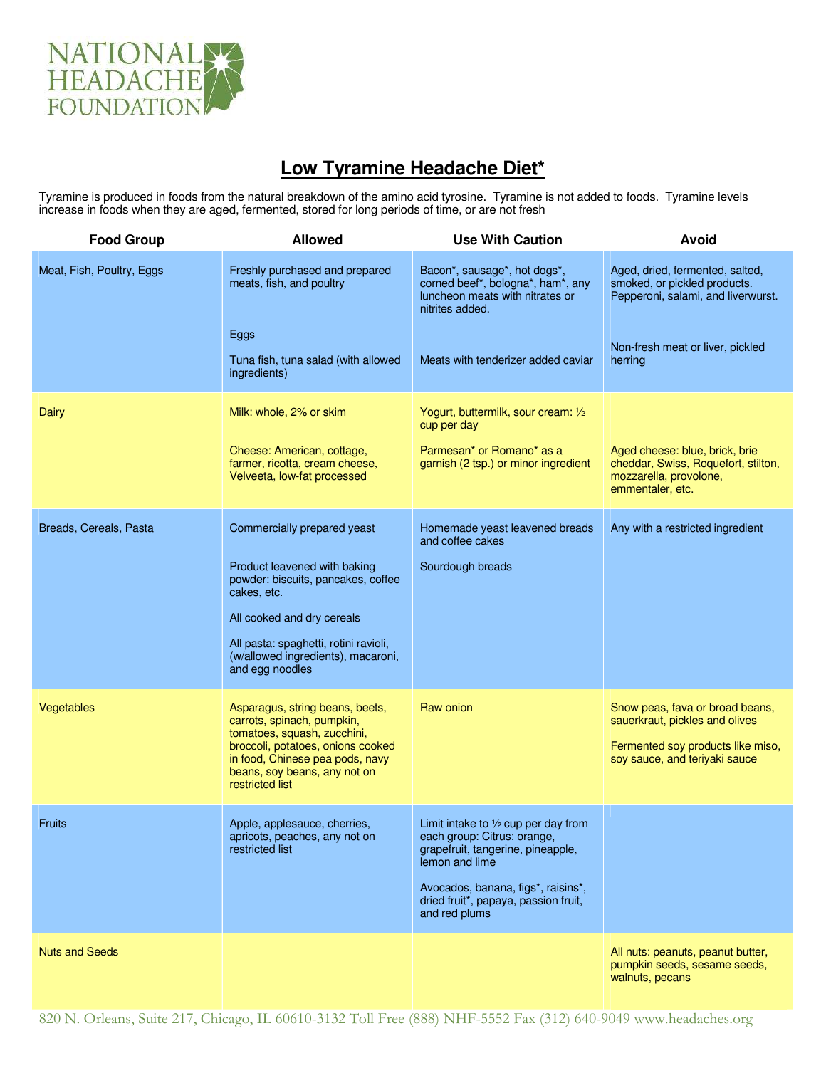

## **Low Tyramine Headache Diet\***

Tyramine is produced in foods from the natural breakdown of the amino acid tyrosine. Tyramine is not added to foods. Tyramine levels increase in foods when they are aged, fermented, stored for long periods of time, or are not fresh

| <b>Food Group</b>         | <b>Allowed</b>                                                                                                                                                                                                          | <b>Use With Caution</b>                                                                                                      | Avoid                                                                                                                                   |
|---------------------------|-------------------------------------------------------------------------------------------------------------------------------------------------------------------------------------------------------------------------|------------------------------------------------------------------------------------------------------------------------------|-----------------------------------------------------------------------------------------------------------------------------------------|
| Meat, Fish, Poultry, Eggs | Freshly purchased and prepared<br>meats, fish, and poultry                                                                                                                                                              | Bacon*, sausage*, hot dogs*,<br>corned beef*, bologna*, ham*, any<br>luncheon meats with nitrates or<br>nitrites added.      | Aged, dried, fermented, salted,<br>smoked, or pickled products.<br>Pepperoni, salami, and liverwurst.                                   |
|                           | Eggs<br>Tuna fish, tuna salad (with allowed<br>ingredients)                                                                                                                                                             | Meats with tenderizer added caviar                                                                                           | Non-fresh meat or liver, pickled<br>herring                                                                                             |
| Dairy                     | Milk: whole, 2% or skim                                                                                                                                                                                                 | Yogurt, buttermilk, sour cream: 1/2<br>cup per day                                                                           |                                                                                                                                         |
|                           | Cheese: American, cottage,<br>farmer, ricotta, cream cheese,<br>Velveeta, low-fat processed                                                                                                                             | Parmesan <sup>*</sup> or Romano <sup>*</sup> as a<br>garnish (2 tsp.) or minor ingredient                                    | Aged cheese: blue, brick, brie<br>cheddar, Swiss, Roquefort, stilton,<br>mozzarella, provolone,<br>emmentaler, etc.                     |
| Breads, Cereals, Pasta    | Commercially prepared yeast                                                                                                                                                                                             | Homemade yeast leavened breads<br>and coffee cakes                                                                           | Any with a restricted ingredient                                                                                                        |
|                           | Product leavened with baking<br>powder: biscuits, pancakes, coffee<br>cakes, etc.                                                                                                                                       | Sourdough breads                                                                                                             |                                                                                                                                         |
|                           | All cooked and dry cereals                                                                                                                                                                                              |                                                                                                                              |                                                                                                                                         |
|                           | All pasta: spaghetti, rotini ravioli,<br>(w/allowed ingredients), macaroni,<br>and egg noodles                                                                                                                          |                                                                                                                              |                                                                                                                                         |
| Vegetables                | Asparagus, string beans, beets,<br>carrots, spinach, pumpkin,<br>tomatoes, squash, zucchini,<br>broccoli, potatoes, onions cooked<br>in food, Chinese pea pods, navy<br>beans, soy beans, any not on<br>restricted list | Raw onion                                                                                                                    | Snow peas, fava or broad beans,<br>sauerkraut, pickles and olives<br>Fermented soy products like miso,<br>soy sauce, and teriyaki sauce |
| Fruits                    | Apple, applesauce, cherries,<br>apricots, peaches, any not on<br>restricted list                                                                                                                                        | Limit intake to $1/2$ cup per day from<br>each group: Citrus: orange,<br>grapefruit, tangerine, pineapple,<br>lemon and lime |                                                                                                                                         |
|                           |                                                                                                                                                                                                                         | Avocados, banana, figs*, raisins*,<br>dried fruit*, papaya, passion fruit,<br>and red plums                                  |                                                                                                                                         |
| <b>Nuts and Seeds</b>     |                                                                                                                                                                                                                         |                                                                                                                              | All nuts: peanuts, peanut butter,<br>pumpkin seeds, sesame seeds,<br>walnuts, pecans                                                    |